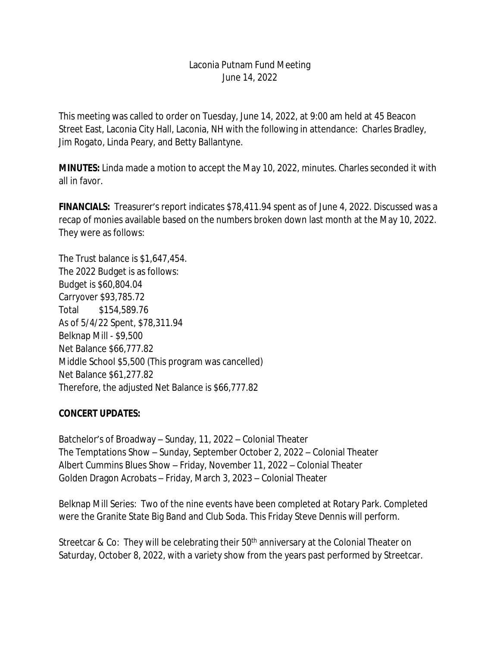## Laconia Putnam Fund Meeting June 14, 2022

This meeting was called to order on Tuesday, June 14, 2022, at 9:00 am held at 45 Beacon Street East, Laconia City Hall, Laconia, NH with the following in attendance: Charles Bradley, Jim Rogato, Linda Peary, and Betty Ballantyne.

**MINUTES:** Linda made a motion to accept the May 10, 2022, minutes. Charles seconded it with all in favor.

**FINANCIALS:** Treasurer's report indicates \$78,411.94 spent as of June 4, 2022. Discussed was a recap of monies available based on the numbers broken down last month at the May 10, 2022. They were as follows:

The Trust balance is \$1,647,454. The 2022 Budget is as follows: Budget is \$60,804.04 Carryover \$93,785.72 Total \$154,589.76 As of 5/4/22 Spent, \$78,311.94 Belknap Mill - \$9,500 Net Balance \$66,777.82 Middle School \$5,500 (This program was cancelled) Net Balance \$61,277.82 Therefore, the adjusted Net Balance is \$66,777.82

## **CONCERT UPDATES:**

Batchelor's of Broadway – Sunday, 11, 2022 – Colonial Theater The Temptations Show – Sunday, September October 2, 2022 – Colonial Theater Albert Cummins Blues Show – Friday, November 11, 2022 – Colonial Theater Golden Dragon Acrobats – Friday, March 3, 2023 – Colonial Theater

Belknap Mill Series: Two of the nine events have been completed at Rotary Park. Completed were the Granite State Big Band and Club Soda. This Friday Steve Dennis will perform.

Streetcar & Co: They will be celebrating their 50<sup>th</sup> anniversary at the Colonial Theater on Saturday, October 8, 2022, with a variety show from the years past performed by Streetcar.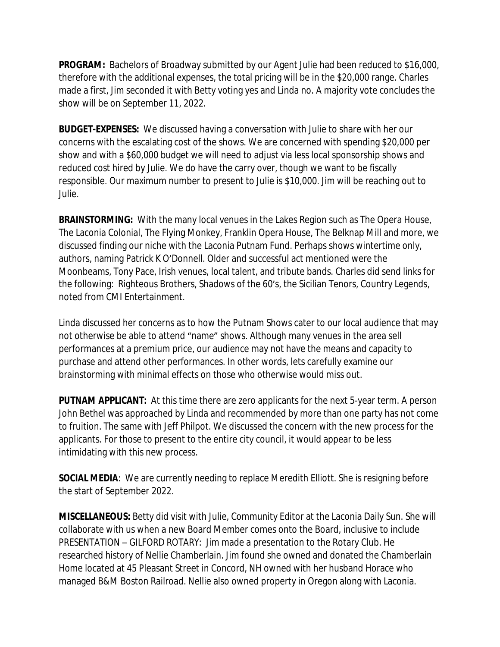**PROGRAM:** Bachelors of Broadway submitted by our Agent Julie had been reduced to \$16,000, therefore with the additional expenses, the total pricing will be in the \$20,000 range. Charles made a first, Jim seconded it with Betty voting yes and Linda no. A majority vote concludes the show will be on September 11, 2022.

**BUDGET-EXPENSES:** We discussed having a conversation with Julie to share with her our concerns with the escalating cost of the shows. We are concerned with spending \$20,000 per show and with a \$60,000 budget we will need to adjust via less local sponsorship shows and reduced cost hired by Julie. We do have the carry over, though we want to be fiscally responsible. Our maximum number to present to Julie is \$10,000. Jim will be reaching out to Julie.

**BRAINSTORMING:** With the many local venues in the Lakes Region such as The Opera House, The Laconia Colonial, The Flying Monkey, Franklin Opera House, The Belknap Mill and more, we discussed finding our niche with the Laconia Putnam Fund. Perhaps shows wintertime only, authors, naming Patrick K O'Donnell. Older and successful act mentioned were the Moonbeams, Tony Pace, Irish venues, local talent, and tribute bands. Charles did send links for the following: Righteous Brothers, Shadows of the 60's, the Sicilian Tenors, Country Legends, noted from CMI Entertainment.

Linda discussed her concerns as to how the Putnam Shows cater to our local audience that may not otherwise be able to attend "name" shows. Although many venues in the area sell performances at a premium price, our audience may not have the means and capacity to purchase and attend other performances. In other words, lets carefully examine our brainstorming with minimal effects on those who otherwise would miss out.

**PUTNAM APPLICANT:** At this time there are zero applicants for the next 5-year term. A person John Bethel was approached by Linda and recommended by more than one party has not come to fruition. The same with Jeff Philpot. We discussed the concern with the new process for the applicants. For those to present to the entire city council, it would appear to be less intimidating with this new process.

**SOCIAL MEDIA:** We are currently needing to replace Meredith Elliott. She is resigning before the start of September 2022.

**MISCELLANEOUS:** Betty did visit with Julie, Community Editor at the Laconia Daily Sun. She will collaborate with us when a new Board Member comes onto the Board, inclusive to include PRESENTATION – GILFORD ROTARY: Jim made a presentation to the Rotary Club. He researched history of Nellie Chamberlain. Jim found she owned and donated the Chamberlain Home located at 45 Pleasant Street in Concord, NH owned with her husband Horace who managed B&M Boston Railroad. Nellie also owned property in Oregon along with Laconia.